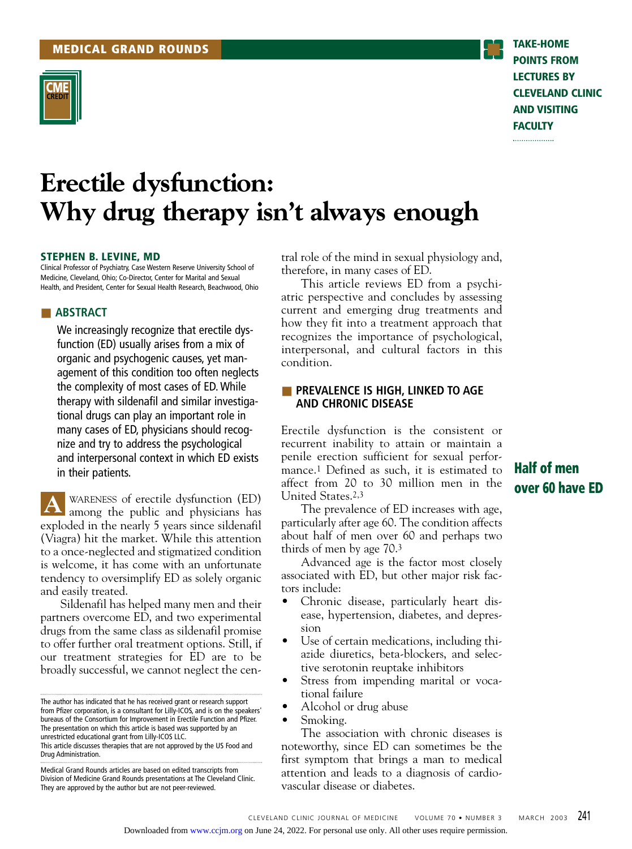

**POINTS FROM LECTURES BY CLEVELAND CLINIC AND VISITING FACULTY** .................

# **Erectile dysfunction: Why drug therapy isn't always enough**

#### **STEPHEN B. LEVINE, MD**

Clinical Professor of Psychiatry, Case Western Reserve University School of Medicine, Cleveland, Ohio; Co-Director, Center for Marital and Sexual Health, and President, Center for Sexual Health Research, Beachwood, Ohio

#### ■ **ABSTRACT**

We increasingly recognize that erectile dysfunction (ED) usually arises from a mix of organic and psychogenic causes, yet management of this condition too often neglects the complexity of most cases of ED. While therapy with sildenafil and similar investigational drugs can play an important role in many cases of ED, physicians should recognize and try to address the psychological and interpersonal context in which ED exists in their patients.

WARENESS of erectile dysfunction (ED) **A** WARENESS of erectile dysfunction (ED) among the public and physicians has exploded in the nearly 5 years since sildenafil (Viagra) hit the market. While this attention to a once-neglected and stigmatized condition is welcome, it has come with an unfortunate tendency to oversimplify ED as solely organic and easily treated.

Sildenafil has helped many men and their partners overcome ED, and two experimental drugs from the same class as sildenafil promise to offer further oral treatment options. Still, if our treatment strategies for ED are to be broadly successful, we cannot neglect the central role of the mind in sexual physiology and, therefore, in many cases of ED.

This article reviews ED from a psychiatric perspective and concludes by assessing current and emerging drug treatments and how they fit into a treatment approach that recognizes the importance of psychological, interpersonal, and cultural factors in this condition.

#### ■ **PREVALENCE IS HIGH, LINKED TO AGE AND CHRONIC DISEASE**

Erectile dysfunction is the consistent or recurrent inability to attain or maintain a penile erection sufficient for sexual performance.1 Defined as such, it is estimated to affect from 20 to 30 million men in the United States.2,3

The prevalence of ED increases with age, particularly after age 60. The condition affects about half of men over 60 and perhaps two thirds of men by age 70.3

Advanced age is the factor most closely associated with ED, but other major risk factors include:

- Chronic disease, particularly heart disease, hypertension, diabetes, and depression
- Use of certain medications, including thiazide diuretics, beta-blockers, and selective serotonin reuptake inhibitors
- Stress from impending marital or vocational failure
- Alcohol or drug abuse
- Smoking.

The association with chronic diseases is noteworthy, since ED can sometimes be the first symptom that brings a man to medical attention and leads to a diagnosis of cardiovascular disease or diabetes.

# **Half of men over 60 have ED**

The author has indicated that he has received grant or research support from Pfizer corporation, is a consultant for Lilly-ICOS, and is on the speakers' bureaus of the Consortium for Improvement in Erectile Function and Pfizer. The presentation on which this article is based was supported by an unrestricted educational grant from Lilly-ICOS LLC.

This article discusses therapies that are not approved by the US Food and Drug Administration.

Medical Grand Rounds articles are based on edited transcripts from Division of Medicine Grand Rounds presentations at The Cleveland Clinic. They are approved by the author but are not peer-reviewed.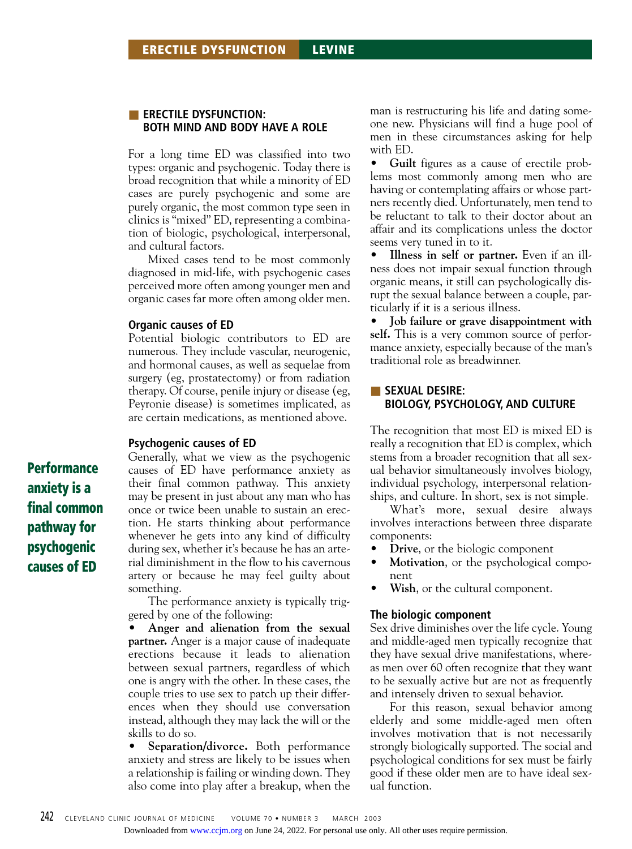#### **ERECTILE DYSFUNCTION: BOTH MIND AND BODY HAVE A ROLE**

For a long time ED was classified into two types: organic and psychogenic. Today there is broad recognition that while a minority of ED cases are purely psychogenic and some are purely organic, the most common type seen in clinics is "mixed" ED, representing a combination of biologic, psychological, interpersonal, and cultural factors.

Mixed cases tend to be most commonly diagnosed in mid-life, with psychogenic cases perceived more often among younger men and organic cases far more often among older men.

#### **Organic causes of ED**

Potential biologic contributors to ED are numerous. They include vascular, neurogenic, and hormonal causes, as well as sequelae from surgery (eg, prostatectomy) or from radiation therapy. Of course, penile injury or disease (eg, Peyronie disease) is sometimes implicated, as are certain medications, as mentioned above.

#### **Psychogenic causes of ED**

Generally, what we view as the psychogenic causes of ED have performance anxiety as their final common pathway. This anxiety may be present in just about any man who has once or twice been unable to sustain an erection. He starts thinking about performance whenever he gets into any kind of difficulty during sex, whether it's because he has an arterial diminishment in the flow to his cavernous artery or because he may feel guilty about something.

The performance anxiety is typically triggered by one of the following:

• **Anger and alienation from the sexual partner.** Anger is a major cause of inadequate erections because it leads to alienation between sexual partners, regardless of which one is angry with the other. In these cases, the couple tries to use sex to patch up their differences when they should use conversation instead, although they may lack the will or the skills to do so.

• **Separation/divorce.** Both performance anxiety and stress are likely to be issues when a relationship is failing or winding down. They also come into play after a breakup, when the

man is restructuring his life and dating someone new. Physicians will find a huge pool of men in these circumstances asking for help with ED.

• **Guilt** figures as a cause of erectile problems most commonly among men who are having or contemplating affairs or whose partners recently died. Unfortunately, men tend to be reluctant to talk to their doctor about an affair and its complications unless the doctor seems very tuned in to it.

• **Illness in self or partner.** Even if an illness does not impair sexual function through organic means, it still can psychologically disrupt the sexual balance between a couple, particularly if it is a serious illness.

• **Job failure or grave disappointment with self.** This is a very common source of performance anxiety, especially because of the man's traditional role as breadwinner.

#### ■ **SEXUAL DESIRE: BIOLOGY, PSYCHOLOGY, AND CULTURE**

The recognition that most ED is mixed ED is really a recognition that ED is complex, which stems from a broader recognition that all sexual behavior simultaneously involves biology, individual psychology, interpersonal relationships, and culture. In short, sex is not simple.

What's more, sexual desire always involves interactions between three disparate components:

- **Drive**, or the biologic component
- **Motivation**, or the psychological component
- Wish, or the cultural component.

#### **The biologic component**

Sex drive diminishes over the life cycle. Young and middle-aged men typically recognize that they have sexual drive manifestations, whereas men over 60 often recognize that they want to be sexually active but are not as frequently and intensely driven to sexual behavior.

For this reason, sexual behavior among elderly and some middle-aged men often involves motivation that is not necessarily strongly biologically supported. The social and psychological conditions for sex must be fairly good if these older men are to have ideal sexual function.

**Performance anxiety is a final common pathway for psychogenic causes of ED**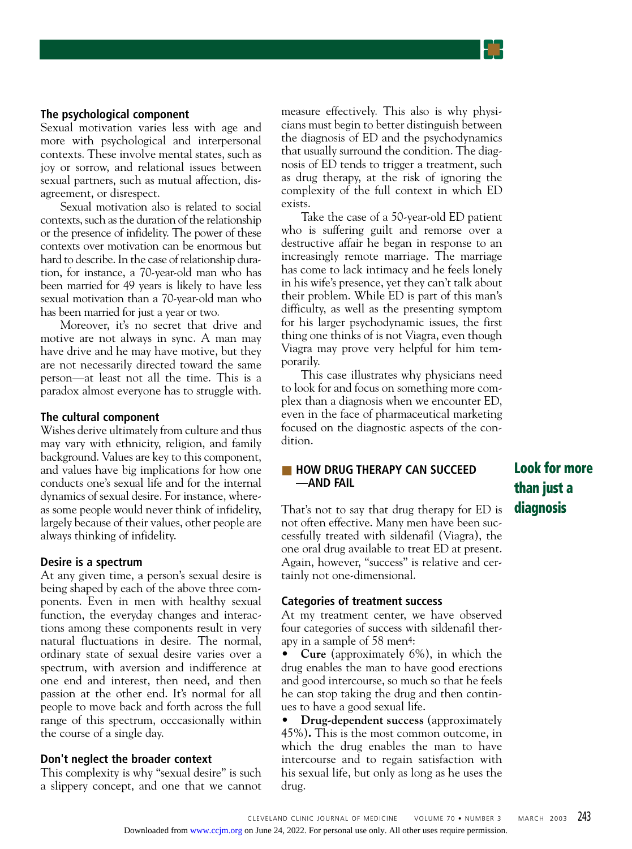## **The psychological component**

Sexual motivation varies less with age and more with psychological and interpersonal contexts. These involve mental states, such as joy or sorrow, and relational issues between sexual partners, such as mutual affection, disagreement, or disrespect.

Sexual motivation also is related to social contexts, such as the duration of the relationship or the presence of infidelity. The power of these contexts over motivation can be enormous but hard to describe. In the case of relationship duration, for instance, a 70-year-old man who has been married for 49 years is likely to have less sexual motivation than a 70-year-old man who has been married for just a year or two.

Moreover, it's no secret that drive and motive are not always in sync. A man may have drive and he may have motive, but they are not necessarily directed toward the same person—at least not all the time. This is a paradox almost everyone has to struggle with.

#### **The cultural component**

Wishes derive ultimately from culture and thus may vary with ethnicity, religion, and family background. Values are key to this component, and values have big implications for how one conducts one's sexual life and for the internal dynamics of sexual desire. For instance, whereas some people would never think of infidelity, largely because of their values, other people are always thinking of infidelity.

#### **Desire is a spectrum**

At any given time, a person's sexual desire is being shaped by each of the above three components. Even in men with healthy sexual function, the everyday changes and interactions among these components result in very natural fluctuations in desire. The normal, ordinary state of sexual desire varies over a spectrum, with aversion and indifference at one end and interest, then need, and then passion at the other end. It's normal for all people to move back and forth across the full range of this spectrum, occcasionally within the course of a single day.

#### **Don't neglect the broader context**

This complexity is why "sexual desire" is such a slippery concept, and one that we cannot

measure effectively. This also is why physicians must begin to better distinguish between the diagnosis of ED and the psychodynamics that usually surround the condition. The diagnosis of ED tends to trigger a treatment, such as drug therapy, at the risk of ignoring the complexity of the full context in which ED exists.

Take the case of a 50-year-old ED patient who is suffering guilt and remorse over a destructive affair he began in response to an increasingly remote marriage. The marriage has come to lack intimacy and he feels lonely in his wife's presence, yet they can't talk about their problem. While ED is part of this man's difficulty, as well as the presenting symptom for his larger psychodynamic issues, the first thing one thinks of is not Viagra, even though Viagra may prove very helpful for him temporarily.

This case illustrates why physicians need to look for and focus on something more complex than a diagnosis when we encounter ED, even in the face of pharmaceutical marketing focused on the diagnostic aspects of the condition.

#### ■ **HOW DRUG THERAPY CAN SUCCEED —AND FAIL**

That's not to say that drug therapy for ED is not often effective. Many men have been successfully treated with sildenafil (Viagra), the one oral drug available to treat ED at present. Again, however, "success" is relative and certainly not one-dimensional.

#### **Categories of treatment success**

At my treatment center, we have observed four categories of success with sildenafil therapy in a sample of 58 men4:

• **Cure** (approximately 6%), in which the drug enables the man to have good erections and good intercourse, so much so that he feels he can stop taking the drug and then continues to have a good sexual life.

• **Drug-dependent success** (approximately 45%)**.** This is the most common outcome, in which the drug enables the man to have intercourse and to regain satisfaction with his sexual life, but only as long as he uses the drug.

# **Look for more than just a diagnosis**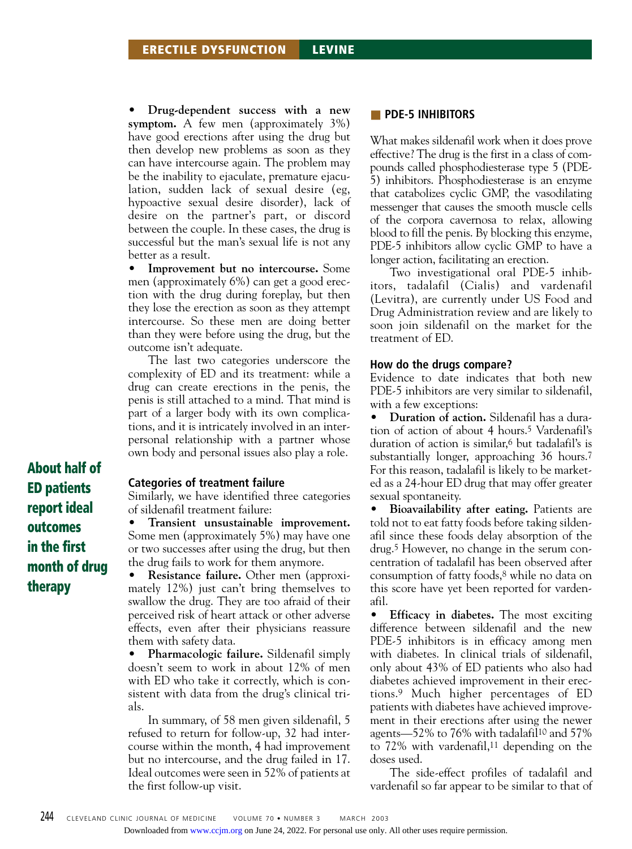• **Drug-dependent success with a new symptom.** A few men (approximately 3%) have good erections after using the drug but then develop new problems as soon as they can have intercourse again. The problem may be the inability to ejaculate, premature ejaculation, sudden lack of sexual desire (eg, hypoactive sexual desire disorder), lack of desire on the partner's part, or discord between the couple. In these cases, the drug is successful but the man's sexual life is not any better as a result.

• **Improvement but no intercourse.** Some men (approximately 6%) can get a good erection with the drug during foreplay, but then they lose the erection as soon as they attempt intercourse. So these men are doing better than they were before using the drug, but the outcome isn't adequate.

The last two categories underscore the complexity of ED and its treatment: while a drug can create erections in the penis, the penis is still attached to a mind. That mind is part of a larger body with its own complications, and it is intricately involved in an interpersonal relationship with a partner whose own body and personal issues also play a role.

**Categories of treatment failure**

Similarly, we have identified three categories of sildenafil treatment failure:

• **Transient unsustainable improvement.** Some men (approximately 5%) may have one or two successes after using the drug, but then the drug fails to work for them anymore.

• **Resistance failure.** Other men (approximately 12%) just can't bring themselves to swallow the drug. They are too afraid of their perceived risk of heart attack or other adverse effects, even after their physicians reassure them with safety data.

• **Pharmacologic failure.** Sildenafil simply doesn't seem to work in about 12% of men with ED who take it correctly, which is consistent with data from the drug's clinical trials.

In summary, of 58 men given sildenafil, 5 refused to return for follow-up, 32 had intercourse within the month, 4 had improvement but no intercourse, and the drug failed in 17. Ideal outcomes were seen in 52% of patients at the first follow-up visit.

#### ■ **PDE-5 INHIBITORS**

What makes sildenafil work when it does prove effective? The drug is the first in a class of compounds called phosphodiesterase type 5 (PDE-5) inhibitors. Phosphodiesterase is an enzyme that catabolizes cyclic GMP, the vasodilating messenger that causes the smooth muscle cells of the corpora cavernosa to relax, allowing blood to fill the penis. By blocking this enzyme, PDE-5 inhibitors allow cyclic GMP to have a longer action, facilitating an erection.

Two investigational oral PDE-5 inhibitors, tadalafil (Cialis) and vardenafil (Levitra), are currently under US Food and Drug Administration review and are likely to soon join sildenafil on the market for the treatment of ED.

#### **How do the drugs compare?**

Evidence to date indicates that both new PDE-5 inhibitors are very similar to sildenafil, with a few exceptions:

• **Duration of action.** Sildenafil has a duration of action of about 4 hours.5 Vardenafil's duration of action is similar,6 but tadalafil's is substantially longer, approaching 36 hours.<sup>7</sup> For this reason, tadalafil is likely to be marketed as a 24-hour ED drug that may offer greater sexual spontaneity.

• **Bioavailability after eating.** Patients are told not to eat fatty foods before taking sildenafil since these foods delay absorption of the drug.5 However, no change in the serum concentration of tadalafil has been observed after consumption of fatty foods,8 while no data on this score have yet been reported for vardenafil.

• **Efficacy in diabetes.** The most exciting difference between sildenafil and the new PDE-5 inhibitors is in efficacy among men with diabetes. In clinical trials of sildenafil, only about 43% of ED patients who also had diabetes achieved improvement in their erections.9 Much higher percentages of ED patients with diabetes have achieved improvement in their erections after using the newer agents—52% to 76% with tadalafil10 and 57% to  $72\%$  with vardenafil,<sup>11</sup> depending on the doses used.

The side-effect profiles of tadalafil and vardenafil so far appear to be similar to that of

**About half of ED patients report ideal outcomes in the first month of drug therapy**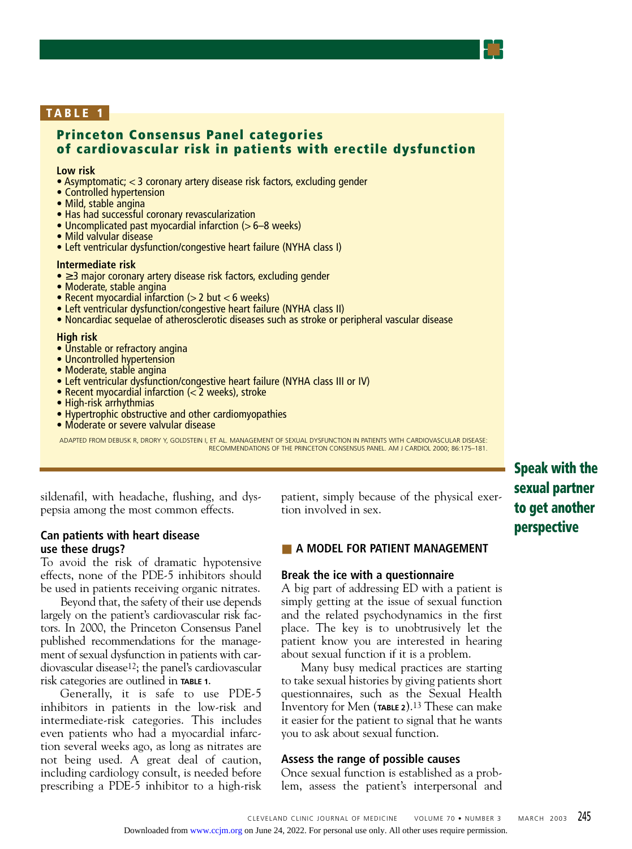# **TABLE 1**

# **Princeton Consensus Panel categories of cardiovascular risk in patients with erectile dysfunction**

#### **Low risk**

• Asymptomatic; < 3 coronary artery disease risk factors, excluding gender

- Controlled hypertension
- Mild, stable angina
- Has had successful coronary revascularization
- Uncomplicated past myocardial infarction (> 6–8 weeks)
- Mild valvular disease
- Left ventricular dysfunction/congestive heart failure (NYHA class I)

#### **Intermediate risk**

- ≥ 3 major coronary artery disease risk factors, excluding gender
- Moderate, stable angina
- Recent myocardial infarction (> 2 but < 6 weeks)
- Left ventricular dysfunction/congestive heart failure (NYHA class II)
- Noncardiac sequelae of atherosclerotic diseases such as stroke or peripheral vascular disease

#### **High risk**

- Unstable or refractory angina
- Uncontrolled hypertension
- Moderate, stable angina
- Left ventricular dysfunction/congestive heart failure (NYHA class III or IV)
- Recent myocardial infarction (< 2 weeks), stroke
- High-risk arrhythmias
- Hypertrophic obstructive and other cardiomyopathies
- Moderate or severe valvular disease

ADAPTED FROM DEBUSK R, DRORY Y, GOLDSTEIN I, ET AL. MANAGEMENT OF SEXUAL DYSFUNCTION IN PATIENTS WITH CARDIOVASCULAR DISEASE: RECOMMENDATIONS OF THE PRINCETON CONSENSUS PANEL. AM J CARDIOL 2000; 86:175–181.

sildenafil, with headache, flushing, and dyspepsia among the most common effects.

### **Can patients with heart disease use these drugs?**

To avoid the risk of dramatic hypotensive effects, none of the PDE-5 inhibitors should be used in patients receiving organic nitrates.

Beyond that, the safety of their use depends largely on the patient's cardiovascular risk factors. In 2000, the Princeton Consensus Panel published recommendations for the management of sexual dysfunction in patients with cardiovascular disease12; the panel's cardiovascular risk categories are outlined in **TABLE 1**.

Generally, it is safe to use PDE-5 inhibitors in patients in the low-risk and intermediate-risk categories. This includes even patients who had a myocardial infarction several weeks ago, as long as nitrates are not being used. A great deal of caution, including cardiology consult, is needed before prescribing a PDE-5 inhibitor to a high-risk patient, simply because of the physical exertion involved in sex.

# **Speak with the sexual partner to get another perspective**

### ■ A MODEL FOR PATIENT MANAGEMENT

#### **Break the ice with a questionnaire**

A big part of addressing ED with a patient is simply getting at the issue of sexual function and the related psychodynamics in the first place. The key is to unobtrusively let the patient know you are interested in hearing about sexual function if it is a problem.

Many busy medical practices are starting to take sexual histories by giving patients short questionnaires, such as the Sexual Health Inventory for Men (**TABLE 2**).13 These can make it easier for the patient to signal that he wants you to ask about sexual function.

# **Assess the range of possible causes**

Once sexual function is established as a problem, assess the patient's interpersonal and